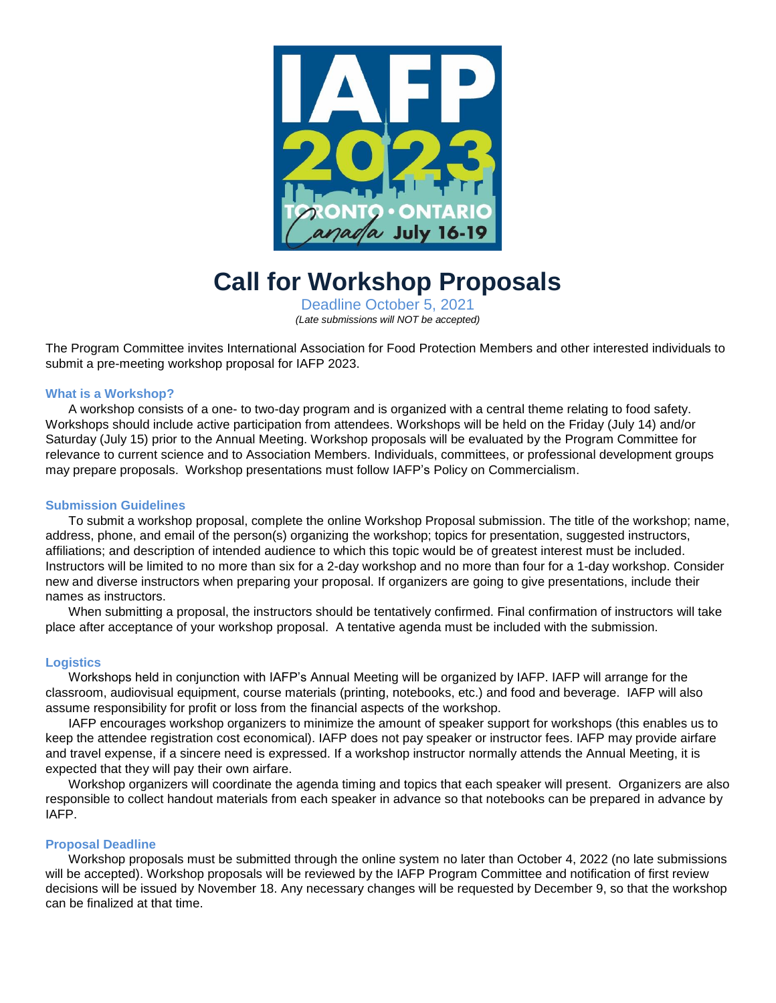

# **Call for Workshop Proposals**

Deadline October 5, 2021 *(Late submissions will NOT be accepted)*

The Program Committee invites International Association for Food Protection Members and other interested individuals to submit a pre-meeting workshop proposal for IAFP 2023.

#### **What is a Workshop?**

A workshop consists of a one- to two-day program and is organized with a central theme relating to food safety. Workshops should include active participation from attendees. Workshops will be held on the Friday (July 14) and/or Saturday (July 15) prior to the Annual Meeting. Workshop proposals will be evaluated by the Program Committee for relevance to current science and to Association Members. Individuals, committees, or professional development groups may prepare proposals. Workshop presentations must follow IAFP's Policy on Commercialism.

#### **Submission Guidelines**

To submit a workshop proposal, complete the online Workshop Proposal submission. The title of the workshop; name, address, phone, and email of the person(s) organizing the workshop; topics for presentation, suggested instructors, affiliations; and description of intended audience to which this topic would be of greatest interest must be included. Instructors will be limited to no more than six for a 2-day workshop and no more than four for a 1-day workshop. Consider new and diverse instructors when preparing your proposal. If organizers are going to give presentations, include their names as instructors.

When submitting a proposal, the instructors should be tentatively confirmed. Final confirmation of instructors will take place after acceptance of your workshop proposal. A tentative agenda must be included with the submission.

## **Logistics**

Workshops held in conjunction with IAFP's Annual Meeting will be organized by IAFP. IAFP will arrange for the classroom, audiovisual equipment, course materials (printing, notebooks, etc.) and food and beverage. IAFP will also assume responsibility for profit or loss from the financial aspects of the workshop.

IAFP encourages workshop organizers to minimize the amount of speaker support for workshops (this enables us to keep the attendee registration cost economical). IAFP does not pay speaker or instructor fees. IAFP may provide airfare and travel expense, if a sincere need is expressed. If a workshop instructor normally attends the Annual Meeting, it is expected that they will pay their own airfare.

Workshop organizers will coordinate the agenda timing and topics that each speaker will present. Organizers are also responsible to collect handout materials from each speaker in advance so that notebooks can be prepared in advance by IAFP.

#### **Proposal Deadline**

Workshop proposals must be submitted through the online system no later than October 4, 2022 (no late submissions will be accepted). Workshop proposals will be reviewed by the IAFP Program Committee and notification of first review decisions will be issued by November 18. Any necessary changes will be requested by December 9, so that the workshop can be finalized at that time.